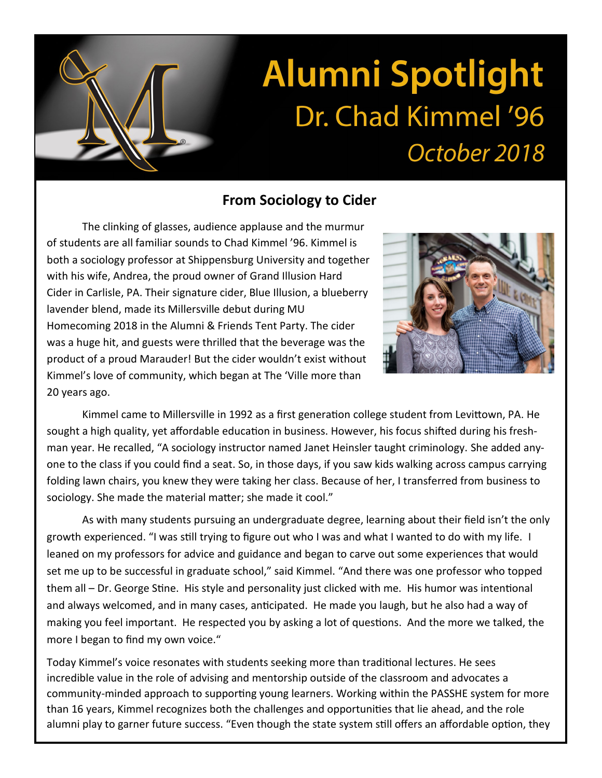## **Alumni Spotlight** Dr. Chad Kimmel '96 October 2018

## **From Sociology to Cider**

The clinking of glasses, audience applause and the murmur of students are all familiar sounds to Chad Kimmel '96. Kimmel is both a sociology professor at Shippensburg University and together with his wife, Andrea, the proud owner of Grand Illusion Hard Cider in Carlisle, PA. Their signature cider, Blue Illusion, a blueberry lavender blend, made its Millersville debut during MU Homecoming 2018 in the Alumni & Friends Tent Party. The cider was a huge hit, and guests were thrilled that the beverage was the product of a proud Marauder! But the cider wouldn't exist without Kimmel's love of community, which began at The 'Ville more than 20 years ago.



Kimmel came to Millersville in 1992 as a first generation college student from Levittown, PA. He sought a high quality, yet affordable education in business. However, his focus shifted during his freshman year. He recalled, "A sociology instructor named Janet Heinsler taught criminology. She added anyone to the class if you could find a seat. So, in those days, if you saw kids walking across campus carrying folding lawn chairs, you knew they were taking her class. Because of her, I transferred from business to sociology. She made the material matter; she made it cool."

As with many students pursuing an undergraduate degree, learning about their field isn't the only growth experienced. "I was still trying to figure out who I was and what I wanted to do with my life. I leaned on my professors for advice and guidance and began to carve out some experiences that would set me up to be successful in graduate school," said Kimmel. "And there was one professor who topped them all – Dr. George Stine. His style and personality just clicked with me. His humor was intentional and always welcomed, and in many cases, anticipated. He made you laugh, but he also had a way of making you feel important. He respected you by asking a lot of questions. And the more we talked, the more I began to find my own voice."

Today Kimmel's voice resonates with students seeking more than traditional lectures. He sees incredible value in the role of advising and mentorship outside of the classroom and advocates a community-minded approach to supporting young learners. Working within the PASSHE system for more than 16 years, Kimmel recognizes both the challenges and opportunities that lie ahead, and the role alumni play to garner future success. "Even though the state system still offers an affordable option, they